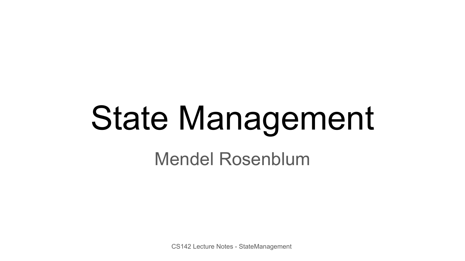# State Management

Mendel Rosenblum

CS142 Lecture Notes - StateManagement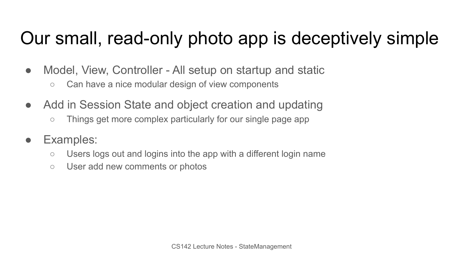## Our small, read-only photo app is deceptively simple

- Model, View, Controller All setup on startup and static
	- Can have a nice modular design of view components
- Add in Session State and object creation and updating
	- Things get more complex particularly for our single page app
- Examples:
	- Users logs out and logins into the app with a different login name
	- User add new comments or photos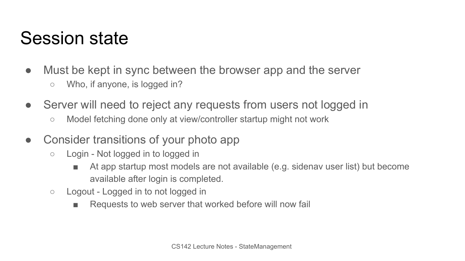#### Session state

- Must be kept in sync between the browser app and the server
	- Who, if anyone, is logged in?
- Server will need to reject any requests from users not logged in
	- Model fetching done only at view/controller startup might not work
- Consider transitions of your photo app
	- Login Not logged in to logged in
		- At app startup most models are not available (e.g. sidenav user list) but become available after login is completed.
	- Logout Logged in to not logged in
		- Requests to web server that worked before will now fail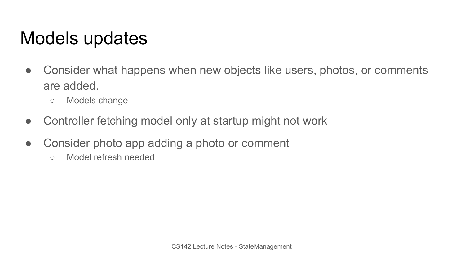#### Models updates

- Consider what happens when new objects like users, photos, or comments are added.
	- Models change
- Controller fetching model only at startup might not work
- Consider photo app adding a photo or comment
	- Model refresh needed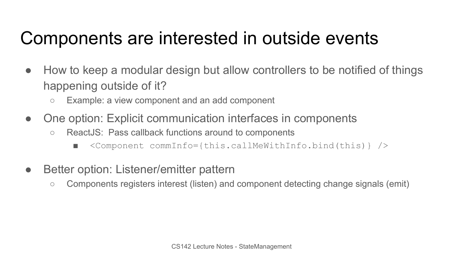## Components are interested in outside events

- How to keep a modular design but allow controllers to be notified of things happening outside of it?
	- Example: a view component and an add component
- One option: Explicit communication interfaces in components
	- ReactJS: Pass callback functions around to components
		- $\text{Component commInfo} = \{\text{this.callowithInfo,bind(this)\}\}$
- Better option: Listener/emitter pattern
	- Components registers interest (listen) and component detecting change signals (emit)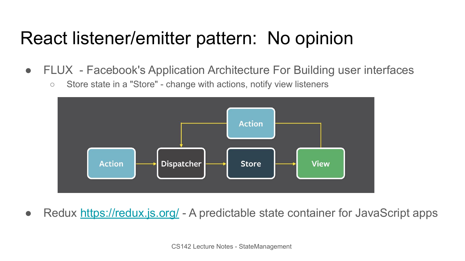## React listener/emitter pattern: No opinion

- FLUX Facebook's Application Architecture For Building user interfaces
	- Store state in a "Store" change with actions, notify view listeners



• Redux<https://redux.js.org/> - A predictable state container for JavaScript apps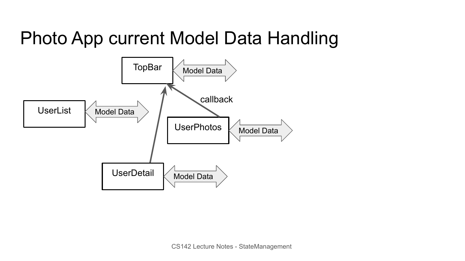## Photo App current Model Data Handling

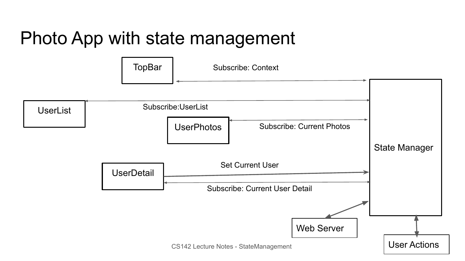## Photo App with state management

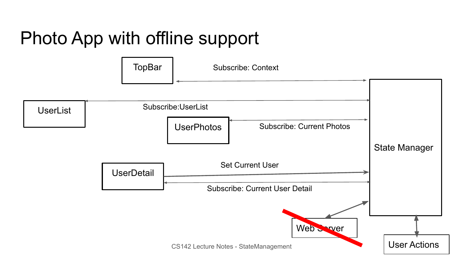# Photo App with offline support

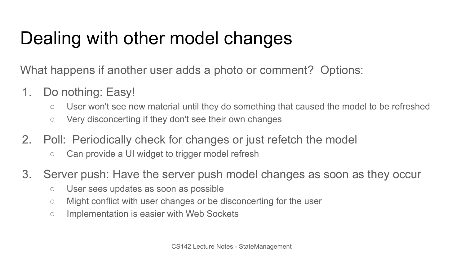# Dealing with other model changes

What happens if another user adds a photo or comment? Options:

- 1. Do nothing: Easy!
	- User won't see new material until they do something that caused the model to be refreshed
	- Very disconcerting if they don't see their own changes
- 2. Poll: Periodically check for changes or just refetch the model
	- Can provide a UI widget to trigger model refresh
- 3. Server push: Have the server push model changes as soon as they occur
	- User sees updates as soon as possible
	- Might conflict with user changes or be disconcerting for the user
	- Implementation is easier with Web Sockets